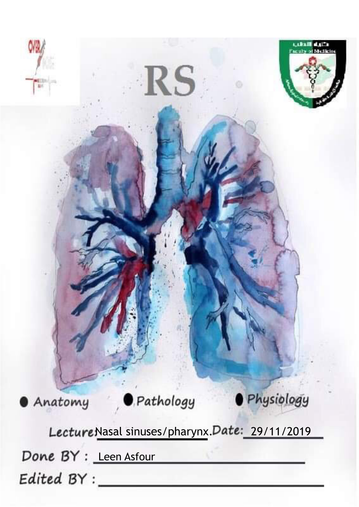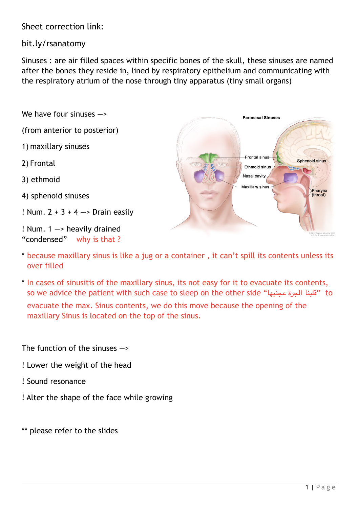Sheet correction link:

bit.ly/rsanatomy

Sinuses : are air filled spaces within specific bones of the skull, these sinuses are named after the bones they reside in, lined by respiratory epithelium and communicating with the respiratory atrium of the nose through tiny apparatus (tiny small organs)

We have four sinuses —>

(from anterior to posterior)

1) maxillary sinuses

2) Frontal

3) ethmoid

4) sphenoid sinuses

! Num.  $2 + 3 + 4 \rightarrow$  Drain easily

! Num. 1 —> heavily drained "condensed" why is that ?



- \* because maxillary sinus is like a jug or a container , it can't spill its contents unless its over filled
- \* In cases of sinusitis of the maxillary sinus, its not easy for it to evacuate its contents, so we advice the patient with such case to sleep on the other side "عجنبها الجرة قلبنا "to evacuate the max. Sinus contents, we do this move because the opening of the maxillary Sinus is located on the top of the sinus.

The function of the sinuses  $\rightarrow$ 

- ! Lower the weight of the head
- ! Sound resonance
- ! Alter the shape of the face while growing

\*\* please refer to the slides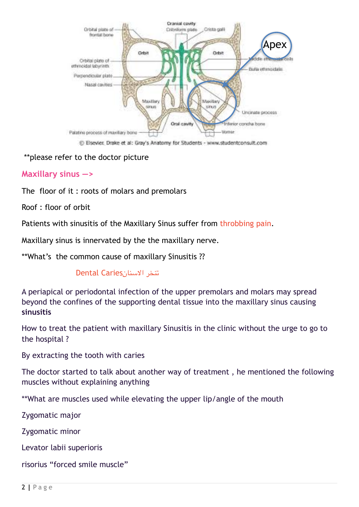

\*\*please refer to the doctor picture

#### **Maxillary sinus —>**

The floor of it : roots of molars and premolars

Roof : floor of orbit

Patients with sinusitis of the Maxillary Sinus suffer from throbbing pain.

Maxillary sinus is innervated by the the maxillary nerve.

\*\*What's the common cause of maxillary Sinusitis ??

#### تنخر السنانCaries Dental

A periapical or periodontal infection of the upper premolars and molars may spread beyond the confines of the supporting dental tissue into the maxillary sinus causing **sinusitis** 

How to treat the patient with maxillary Sinusitis in the clinic without the urge to go to the hospital ?

By extracting the tooth with caries

The doctor started to talk about another way of treatment , he mentioned the following muscles without explaining anything

\*\*What are muscles used while elevating the upper lip/angle of the mouth

Zygomatic major

Zygomatic minor

Levator labii superioris

risorius "forced smile muscle"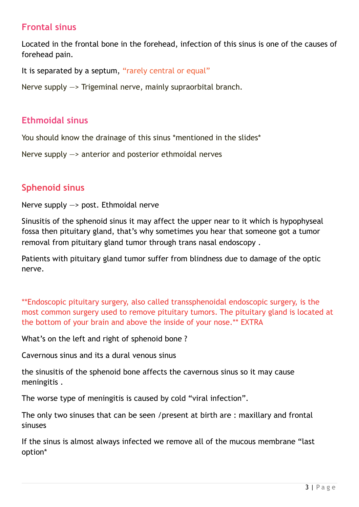# **Frontal sinus**

Located in the frontal bone in the forehead, infection of this sinus is one of the causes of forehead pain.

It is separated by a septum, "rarely central or equal"

Nerve supply —> Trigeminal nerve, mainly supraorbital branch.

### **Ethmoidal sinus**

You should know the drainage of this sinus \*mentioned in the slides\*

Nerve supply —> anterior and posterior ethmoidal nerves

## **Sphenoid sinus**

Nerve supply —> post. Ethmoidal nerve

Sinusitis of the sphenoid sinus it may affect the upper near to it which is hypophyseal fossa then pituitary gland, that's why sometimes you hear that someone got a tumor removal from pituitary gland tumor through trans nasal endoscopy .

Patients with pituitary gland tumor suffer from blindness due to damage of the optic nerve.

\*\*Endoscopic pituitary surgery, also called transsphenoidal endoscopic surgery, is the most common surgery used to remove pituitary tumors. The pituitary gland is located at the bottom of your brain and above the inside of your nose.\*\* EXTRA

What's on the left and right of sphenoid bone ?

Cavernous sinus and its a dural venous sinus

the sinusitis of the sphenoid bone affects the cavernous sinus so it may cause meningitis .

The worse type of meningitis is caused by cold "viral infection".

The only two sinuses that can be seen /present at birth are : maxillary and frontal sinuses

If the sinus is almost always infected we remove all of the mucous membrane "last option\*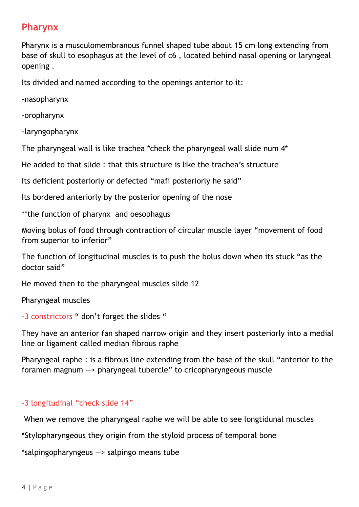# **Pharynx**

Pharynx is a musculomembranous funnel shaped tube about 15 cm long extending from base of skull to esophagus at the level of c6 , located behind nasal opening or laryngeal opening .

Its divided and named according to the openings anterior to it:

-nasopharynx

-oropharynx

-laryngopharynx

The pharyngeal wall is like trachea \*check the pharyngeal wall slide num 4\*

He added to that slide : that this structure is like the trachea's structure

Its deficient posteriorly or defected "mafi posteriorly he said"

Its bordered anteriorly by the posterior opening of the nose

\*\*the function of pharynx and oesophagus

Moving bolus of food through contraction of circular muscle layer "movement of food from superior to inferior"

The function of longitudinal muscles is to push the bolus down when its stuck "as the doctor said"

He moved then to the pharyngeal muscles slide 12

Pharyngeal muscles

-3 constrictors " don't forget the slides "

They have an anterior fan shaped narrow origin and they insert posteriorly into a medial line or ligament called median fibrous raphe

Pharyngeal raphe : is a fibrous line extending from the base of the skull "anterior to the foramen magnum —> pharyngeal tubercle" to cricopharyngeous muscle

#### -3 longitudinal "check slide 14"

When we remove the pharyngeal raphe we will be able to see longtidunal muscles

\*Stylopharyngeous they origin from the styloid process of temporal bone

\*salpingopharyngeus —> salpingo means tube